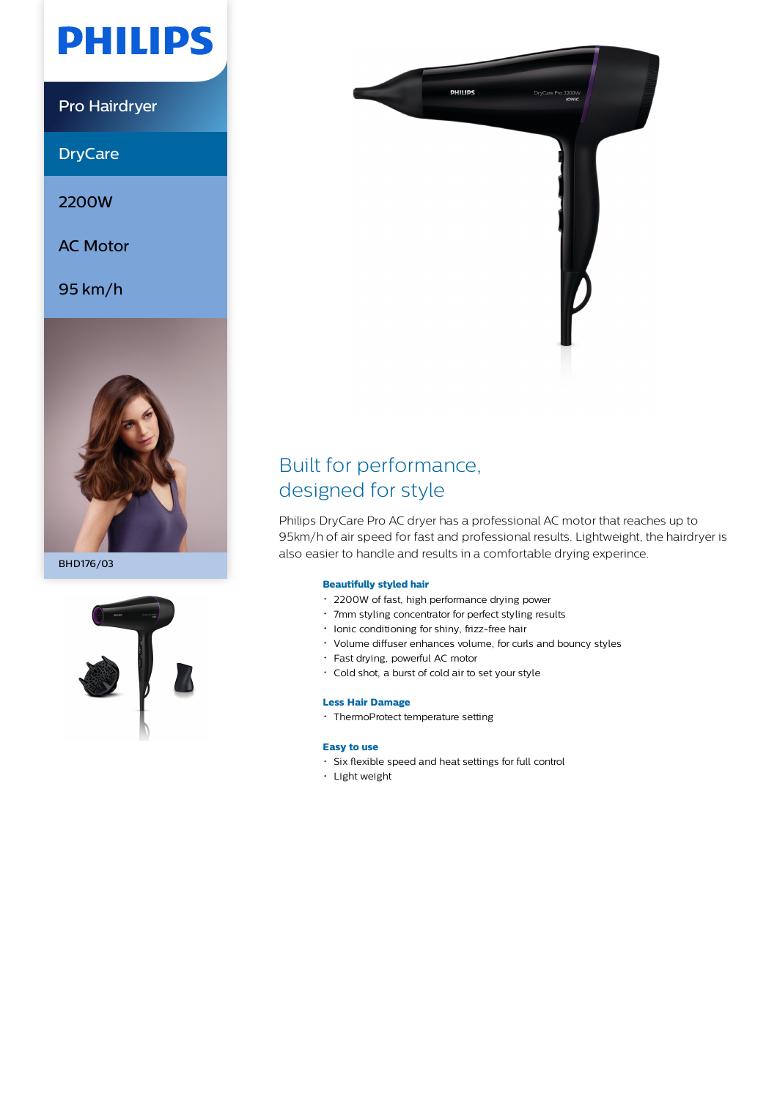# **PHILIPS**

Pro Hairdryer

**DryCare** 

2200W

AC Motor

95 km/h



BHD176/03





# Built for performance, designed for style

Philips DryCare Pro AC dryer has a professional AC motor that reaches up to 95km/h of air speed for fast and professional results. Lightweight, the hairdryer is also easier to handle and results in a comfortable drying experince.

# **Beautifully styled hair**

- 2200W of fast, high performance drying power
- 7mm styling concentrator for perfect styling results
- Ionic conditioning for shiny, frizz-free hair
- Volume diffuser enhances volume, for curls and bouncy styles
- Fast drying, powerful AC motor
- Cold shot, a burst of cold air to set your style

# **Less Hair Damage**

ThermoProtect temperature setting

# **Easy to use**

- Six flexible speed and heat settings for full control
- Light weight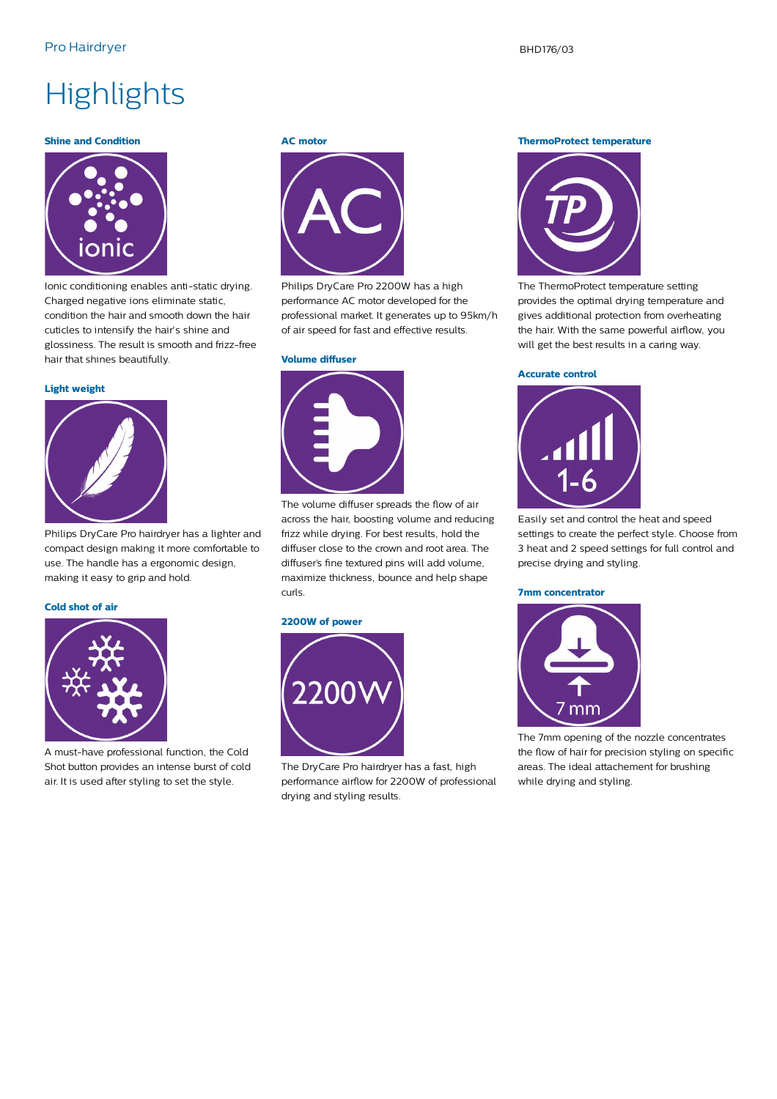# **Highlights**

### **Shine and Condition**



Ionic conditioning enables anti-static drying. Charged negative ions eliminate static, condition the hair and smooth down the hair cuticles to intensify the hair's shine and glossiness. The result is smooth and frizz-free hair that shines beautifully.

#### **Light weight**



Philips DryCare Pro hairdryer has a lighter and compact design making it more comfortable to use. The handle has a ergonomic design, making it easy to grip and hold.

#### **Cold shot of air**



A must-have professional function, the Cold Shot button provides an intense burst of cold air. It is used after styling to set the style.

#### **AC motor**



Philips DryCare Pro 2200W has a high performance AC motor developed for the professional market. It generates up to 95km/h of air speed for fast and effective results.

#### **Volume diffuser**



The volume diffuser spreads the flow of air across the hair, boosting volume and reducing frizz while drying. For best results, hold the diffuser close to the crown and root area. The diffuser's fine textured pins will add volume, maximize thickness, bounce and help shape curls.

### **2200W of power**



The DryCare Pro hairdryer has a fast, high performance airflow for 2200W of professional drying and styling results.

**ThermoProtect temperature**



The ThermoProtect temperature setting provides the optimal drying temperature and gives additional protection from overheating the hair. With the same powerful airflow, you will get the best results in a caring way.

#### **Accurate control**



Easily set and control the heat and speed settings to create the perfect style. Choose from 3 heat and 2 speed settings for full control and precise drying and styling.

#### **7mm concentrator**



The 7mm opening of the nozzle concentrates the flow of hair for precision styling on specific areas. The ideal attachement for brushing while drying and styling.